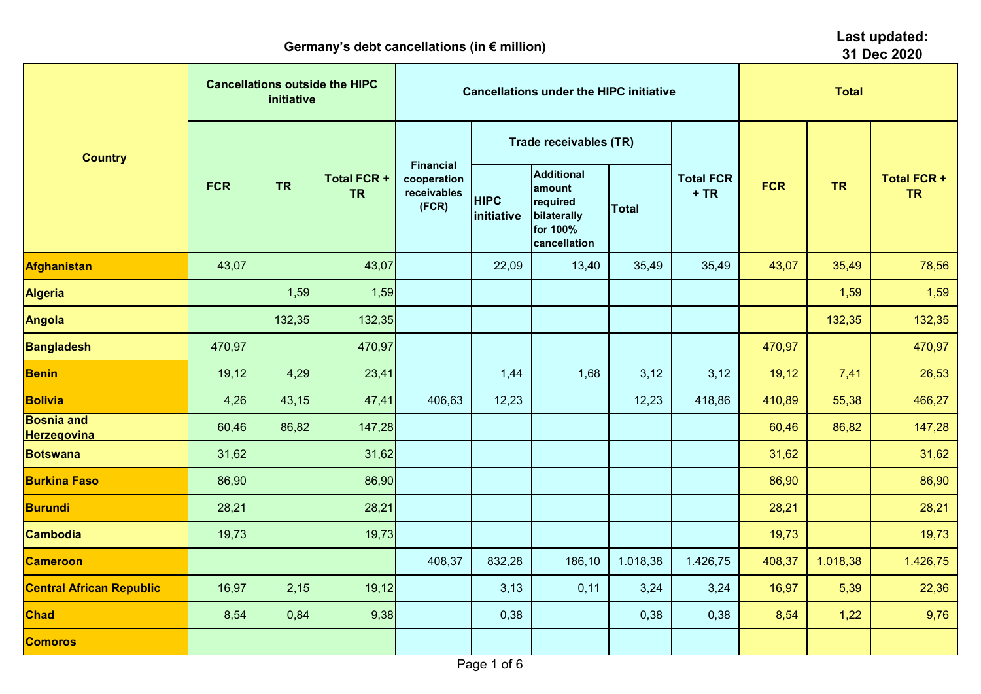| $\sim$ . $\sim$ . $\sim$ . $\sim$ . $\sim$ . $\sim$ . $\sim$ . $\sim$ . $\sim$ . $\sim$ . $\sim$ . $\sim$ . $\sim$ . $\sim$ . $\sim$ . $\sim$ . $\sim$ . $\sim$ . $\sim$ . $\sim$ . $\sim$ . $\sim$ . $\sim$ . $\sim$ . $\sim$ . $\sim$ . $\sim$ . $\sim$ . $\sim$ . $\sim$ . $\sim$ . $\sim$<br>31 Dec 2020 |            |                                                     |                                 |                                                         |                           |                                                                                    |              |                            |            |           |                                 |  |  |
|--------------------------------------------------------------------------------------------------------------------------------------------------------------------------------------------------------------------------------------------------------------------------------------------------------------|------------|-----------------------------------------------------|---------------------------------|---------------------------------------------------------|---------------------------|------------------------------------------------------------------------------------|--------------|----------------------------|------------|-----------|---------------------------------|--|--|
| <b>Country</b>                                                                                                                                                                                                                                                                                               |            | <b>Cancellations outside the HIPC</b><br>initiative |                                 |                                                         |                           | <b>Cancellations under the HIPC initiative</b>                                     | <b>Total</b> |                            |            |           |                                 |  |  |
|                                                                                                                                                                                                                                                                                                              |            |                                                     |                                 |                                                         |                           | <b>Trade receivables (TR)</b>                                                      |              | <b>Total FCR</b><br>$+ TR$ |            |           |                                 |  |  |
|                                                                                                                                                                                                                                                                                                              | <b>FCR</b> | <b>TR</b>                                           | <b>Total FCR +</b><br><b>TR</b> | <b>Financial</b><br>cooperation<br>receivables<br>(FCR) | <b>HIPC</b><br>initiative | <b>Additional</b><br>amount<br>required<br>bilaterally<br>for 100%<br>cancellation | <b>Total</b> |                            | <b>FCR</b> | <b>TR</b> | <b>Total FCR +</b><br><b>TR</b> |  |  |
| <b>Afghanistan</b>                                                                                                                                                                                                                                                                                           | 43,07      |                                                     | 43,07                           |                                                         | 22,09                     | 13,40                                                                              | 35,49        | 35,49                      | 43,07      | 35,49     | 78,56                           |  |  |
| <b>Algeria</b>                                                                                                                                                                                                                                                                                               |            | 1,59                                                | 1,59                            |                                                         |                           |                                                                                    |              |                            |            | 1,59      | 1,59                            |  |  |
| <b>Angola</b>                                                                                                                                                                                                                                                                                                |            | 132,35                                              | 132,35                          |                                                         |                           |                                                                                    |              |                            |            | 132,35    | 132,35                          |  |  |
| <b>Bangladesh</b>                                                                                                                                                                                                                                                                                            | 470,97     |                                                     | 470,97                          |                                                         |                           |                                                                                    |              |                            | 470,97     |           | 470,97                          |  |  |
| <b>Benin</b>                                                                                                                                                                                                                                                                                                 | 19,12      | 4,29                                                | 23,41                           |                                                         | 1,44                      | 1,68                                                                               | 3,12         | 3,12                       | 19,12      | 7,41      | 26,53                           |  |  |
| <b>Bolivia</b>                                                                                                                                                                                                                                                                                               | 4,26       | 43,15                                               | 47,41                           | 406,63                                                  | 12,23                     |                                                                                    | 12,23        | 418,86                     | 410,89     | 55,38     | 466,27                          |  |  |
| <b>Bosnia and</b><br><b>Herzegovina</b>                                                                                                                                                                                                                                                                      | 60,46      | 86,82                                               | 147,28                          |                                                         |                           |                                                                                    |              |                            | 60,46      | 86,82     | 147,28                          |  |  |
| <b>Botswana</b>                                                                                                                                                                                                                                                                                              | 31,62      |                                                     | 31,62                           |                                                         |                           |                                                                                    |              |                            | 31,62      |           | 31,62                           |  |  |
| <b>Burkina Faso</b>                                                                                                                                                                                                                                                                                          | 86,90      |                                                     | 86,90                           |                                                         |                           |                                                                                    |              |                            | 86,90      |           | 86,90                           |  |  |
| <b>Burundi</b>                                                                                                                                                                                                                                                                                               | 28,21      |                                                     | 28,21                           |                                                         |                           |                                                                                    |              |                            | 28,21      |           | 28,21                           |  |  |
| <b>Cambodia</b>                                                                                                                                                                                                                                                                                              | 19,73      |                                                     | 19,73                           |                                                         |                           |                                                                                    |              |                            | 19,73      |           | 19,73                           |  |  |
| <b>Cameroon</b>                                                                                                                                                                                                                                                                                              |            |                                                     |                                 | 408,37                                                  | 832,28                    | 186,10                                                                             | 1.018,38     | 1.426,75                   | 408,37     | 1.018,38  | 1.426,75                        |  |  |
| <b>Central African Republic</b>                                                                                                                                                                                                                                                                              | 16,97      | 2,15                                                | 19,12                           |                                                         | 3,13                      | 0,11                                                                               | 3,24         | 3,24                       | 16,97      | 5,39      | 22,36                           |  |  |
| <b>Chad</b>                                                                                                                                                                                                                                                                                                  | 8,54       | 0,84                                                | 9,38                            |                                                         | 0,38                      |                                                                                    | 0,38         | 0,38                       | 8,54       | 1,22      | 9,76                            |  |  |
| <b>Comoros</b>                                                                                                                                                                                                                                                                                               |            |                                                     |                                 |                                                         |                           |                                                                                    |              |                            |            |           |                                 |  |  |
|                                                                                                                                                                                                                                                                                                              |            |                                                     |                                 |                                                         | Page 1 of 6               |                                                                                    |              |                            |            |           |                                 |  |  |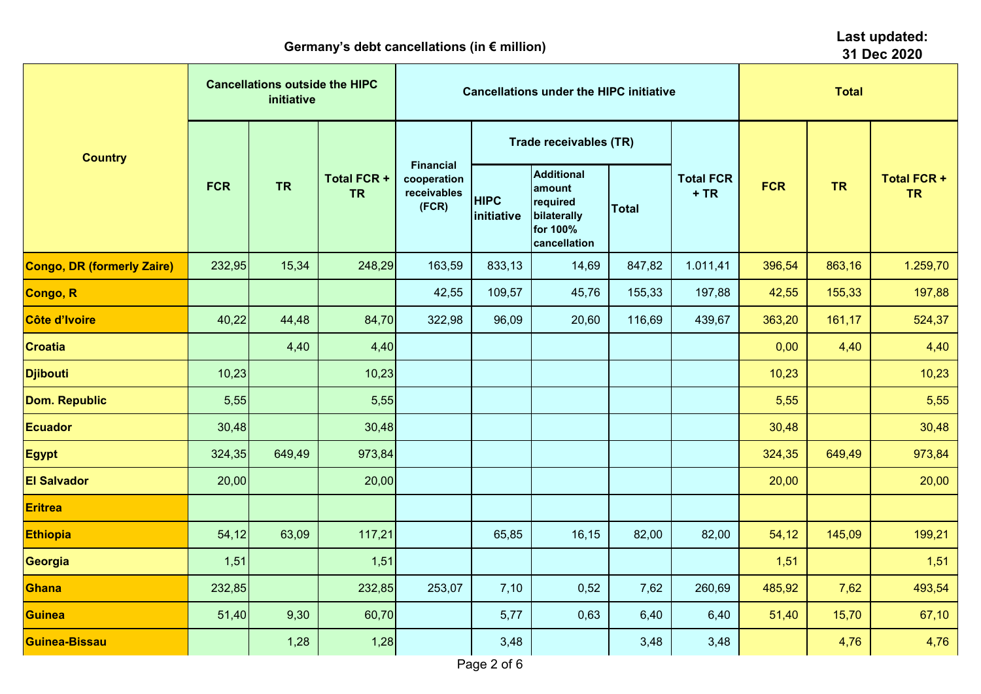|                                   | 31 Dec 2020 |                                                     |                                 |                                                         |                           |                                                                                    |              |                            |            |           |                                 |
|-----------------------------------|-------------|-----------------------------------------------------|---------------------------------|---------------------------------------------------------|---------------------------|------------------------------------------------------------------------------------|--------------|----------------------------|------------|-----------|---------------------------------|
|                                   |             | <b>Cancellations outside the HIPC</b><br>initiative |                                 |                                                         |                           | <b>Cancellations under the HIPC initiative</b>                                     | <b>Total</b> |                            |            |           |                                 |
| <b>Country</b>                    |             |                                                     |                                 |                                                         |                           | Trade receivables (TR)                                                             |              |                            |            | <b>TR</b> | <b>Total FCR +</b><br><b>TR</b> |
|                                   | <b>FCR</b>  | <b>TR</b>                                           | <b>Total FCR +</b><br><b>TR</b> | <b>Financial</b><br>cooperation<br>receivables<br>(FCR) | <b>HIPC</b><br>initiative | <b>Additional</b><br>amount<br>required<br>bilaterally<br>for 100%<br>cancellation | <b>Total</b> | <b>Total FCR</b><br>$+ TR$ | <b>FCR</b> |           |                                 |
| <b>Congo, DR (formerly Zaire)</b> | 232,95      | 15,34                                               | 248,29                          | 163,59                                                  | 833,13                    | 14,69                                                                              | 847,82       | 1.011,41                   | 396,54     | 863,16    | 1.259,70                        |
| Congo, R                          |             |                                                     |                                 | 42,55                                                   | 109,57                    | 45,76                                                                              | 155,33       | 197,88                     | 42,55      | 155,33    | 197,88                          |
| Côte d'Ivoire                     | 40,22       | 44,48                                               | 84,70                           | 322,98                                                  | 96,09                     | 20,60                                                                              | 116,69       | 439,67                     | 363,20     | 161,17    | 524,37                          |
| <b>Croatia</b>                    |             | 4,40                                                | 4,40                            |                                                         |                           |                                                                                    |              |                            | 0,00       | 4,40      | 4,40                            |
| <b>Djibouti</b>                   | 10,23       |                                                     | 10,23                           |                                                         |                           |                                                                                    |              |                            | 10,23      |           | 10,23                           |
| <b>Dom. Republic</b>              | 5,55        |                                                     | 5,55                            |                                                         |                           |                                                                                    |              |                            | 5,55       |           | 5,55                            |
| <b>Ecuador</b>                    | 30,48       |                                                     | 30,48                           |                                                         |                           |                                                                                    |              |                            | 30,48      |           | 30,48                           |
| <b>Egypt</b>                      | 324,35      | 649,49                                              | 973,84                          |                                                         |                           |                                                                                    |              |                            | 324,35     | 649,49    | 973,84                          |
| <b>El Salvador</b>                | 20,00       |                                                     | 20,00                           |                                                         |                           |                                                                                    |              |                            | 20,00      |           | 20,00                           |
| <b>Eritrea</b>                    |             |                                                     |                                 |                                                         |                           |                                                                                    |              |                            |            |           |                                 |
| <b>Ethiopia</b>                   | 54,12       | 63,09                                               | 117,21                          |                                                         | 65,85                     | 16,15                                                                              | 82,00        | 82,00                      | 54,12      | 145,09    | 199,21                          |
| Georgia                           | 1,51        |                                                     | 1,51                            |                                                         |                           |                                                                                    |              |                            | 1,51       |           | 1,51                            |
| <b>Ghana</b>                      | 232,85      |                                                     | 232,85                          | 253,07                                                  | 7,10                      | 0,52                                                                               | 7,62         | 260,69                     | 485,92     | 7,62      | 493,54                          |
| <b>Guinea</b>                     | 51,40       | 9,30                                                | 60,70                           |                                                         | 5,77                      | 0,63                                                                               | 6,40         | 6,40                       | 51,40      | 15,70     | 67,10                           |
| <b>Guinea-Bissau</b>              |             | 1,28                                                | 1,28                            |                                                         | 3,48                      |                                                                                    | 3,48         | 3,48                       |            | 4,76      | 4,76                            |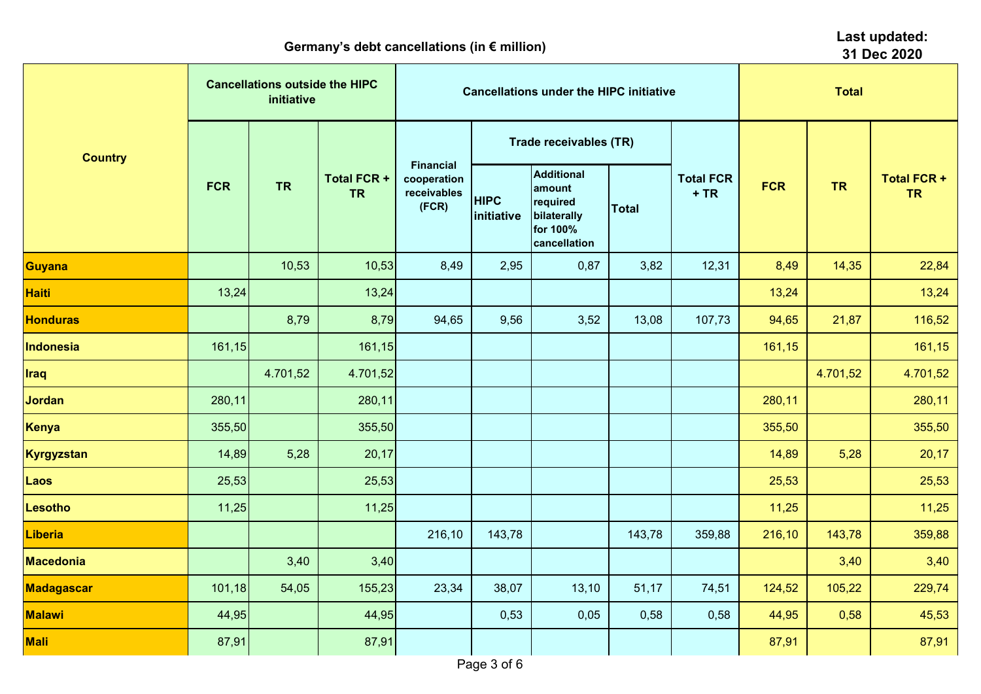| $\sim$ . $\sim$ . $\sim$ . $\sim$ . $\sim$ . $\sim$ . $\sim$ . $\sim$ . $\sim$ . $\sim$ . $\sim$ . $\sim$ . $\sim$ . $\sim$ . $\sim$ . $\sim$ . $\sim$ . $\sim$ . $\sim$ . $\sim$ . $\sim$ . $\sim$ . $\sim$ . $\sim$ . $\sim$ . $\sim$ . $\sim$ . $\sim$ . $\sim$ . $\sim$ . $\sim$ . $\sim$<br>31 Dec 2020 |            |                                                     |                                 |                                                         |                               |                                                                                    |              |                            |            |           |                                 |  |  |
|--------------------------------------------------------------------------------------------------------------------------------------------------------------------------------------------------------------------------------------------------------------------------------------------------------------|------------|-----------------------------------------------------|---------------------------------|---------------------------------------------------------|-------------------------------|------------------------------------------------------------------------------------|--------------|----------------------------|------------|-----------|---------------------------------|--|--|
|                                                                                                                                                                                                                                                                                                              |            | <b>Cancellations outside the HIPC</b><br>initiative |                                 |                                                         |                               | <b>Cancellations under the HIPC initiative</b>                                     | <b>Total</b> |                            |            |           |                                 |  |  |
| <b>Country</b>                                                                                                                                                                                                                                                                                               |            |                                                     |                                 |                                                         | <b>Trade receivables (TR)</b> |                                                                                    |              |                            |            |           |                                 |  |  |
|                                                                                                                                                                                                                                                                                                              | <b>FCR</b> | <b>TR</b>                                           | <b>Total FCR +</b><br><b>TR</b> | <b>Financial</b><br>cooperation<br>receivables<br>(FCR) | <b>HIPC</b><br>initiative     | <b>Additional</b><br>amount<br>required<br>bilaterally<br>for 100%<br>cancellation | <b>Total</b> | <b>Total FCR</b><br>$+ TR$ | <b>FCR</b> | <b>TR</b> | <b>Total FCR +</b><br><b>TR</b> |  |  |
| <b>Guyana</b>                                                                                                                                                                                                                                                                                                |            | 10,53                                               | 10,53                           | 8,49                                                    | 2,95                          | 0,87                                                                               | 3,82         | 12,31                      | 8,49       | 14,35     | 22,84                           |  |  |
| <b>Haiti</b>                                                                                                                                                                                                                                                                                                 | 13,24      |                                                     | 13,24                           |                                                         |                               |                                                                                    |              |                            | 13,24      |           | 13,24                           |  |  |
| <b>Honduras</b>                                                                                                                                                                                                                                                                                              |            | 8,79                                                | 8,79                            | 94,65                                                   | 9,56                          | 3,52                                                                               | 13,08        | 107,73                     | 94,65      | 21,87     | 116,52                          |  |  |
| <b>Indonesia</b>                                                                                                                                                                                                                                                                                             | 161, 15    |                                                     | 161,15                          |                                                         |                               |                                                                                    |              |                            | 161,15     |           | 161,15                          |  |  |
| <b>Iraq</b>                                                                                                                                                                                                                                                                                                  |            | 4.701,52                                            | 4.701,52                        |                                                         |                               |                                                                                    |              |                            |            | 4.701,52  | 4.701,52                        |  |  |
| <b>Jordan</b>                                                                                                                                                                                                                                                                                                | 280,11     |                                                     | 280,11                          |                                                         |                               |                                                                                    |              |                            | 280,11     |           | 280,11                          |  |  |
| <b>Kenya</b>                                                                                                                                                                                                                                                                                                 | 355,50     |                                                     | 355,50                          |                                                         |                               |                                                                                    |              |                            | 355,50     |           | 355,50                          |  |  |
| Kyrgyzstan                                                                                                                                                                                                                                                                                                   | 14,89      | 5,28                                                | 20,17                           |                                                         |                               |                                                                                    |              |                            | 14,89      | 5,28      | 20,17                           |  |  |
| Laos                                                                                                                                                                                                                                                                                                         | 25,53      |                                                     | 25,53                           |                                                         |                               |                                                                                    |              |                            | 25,53      |           | 25,53                           |  |  |
| <b>Lesotho</b>                                                                                                                                                                                                                                                                                               | 11,25      |                                                     | 11,25                           |                                                         |                               |                                                                                    |              |                            | 11,25      |           | 11,25                           |  |  |
| <b>Liberia</b>                                                                                                                                                                                                                                                                                               |            |                                                     |                                 | 216,10                                                  | 143,78                        |                                                                                    | 143,78       | 359,88                     | 216,10     | 143,78    | 359,88                          |  |  |
| <b>Macedonia</b>                                                                                                                                                                                                                                                                                             |            | 3,40                                                | 3,40                            |                                                         |                               |                                                                                    |              |                            |            | 3,40      | 3,40                            |  |  |
| <b>Madagascar</b>                                                                                                                                                                                                                                                                                            | 101, 18    | 54,05                                               | 155,23                          | 23,34                                                   | 38,07                         | 13,10                                                                              | 51,17        | 74,51                      | 124,52     | 105,22    | 229,74                          |  |  |
| <b>Malawi</b>                                                                                                                                                                                                                                                                                                | 44,95      |                                                     | 44,95                           |                                                         | 0,53                          | 0,05                                                                               | 0,58         | 0,58                       | 44,95      | 0,58      | 45,53                           |  |  |
| <b>Mali</b>                                                                                                                                                                                                                                                                                                  | 87,91      |                                                     | 87,91                           |                                                         |                               |                                                                                    |              |                            | 87,91      |           | 87,91                           |  |  |
|                                                                                                                                                                                                                                                                                                              |            | Page 3 of 6                                         |                                 |                                                         |                               |                                                                                    |              |                            |            |           |                                 |  |  |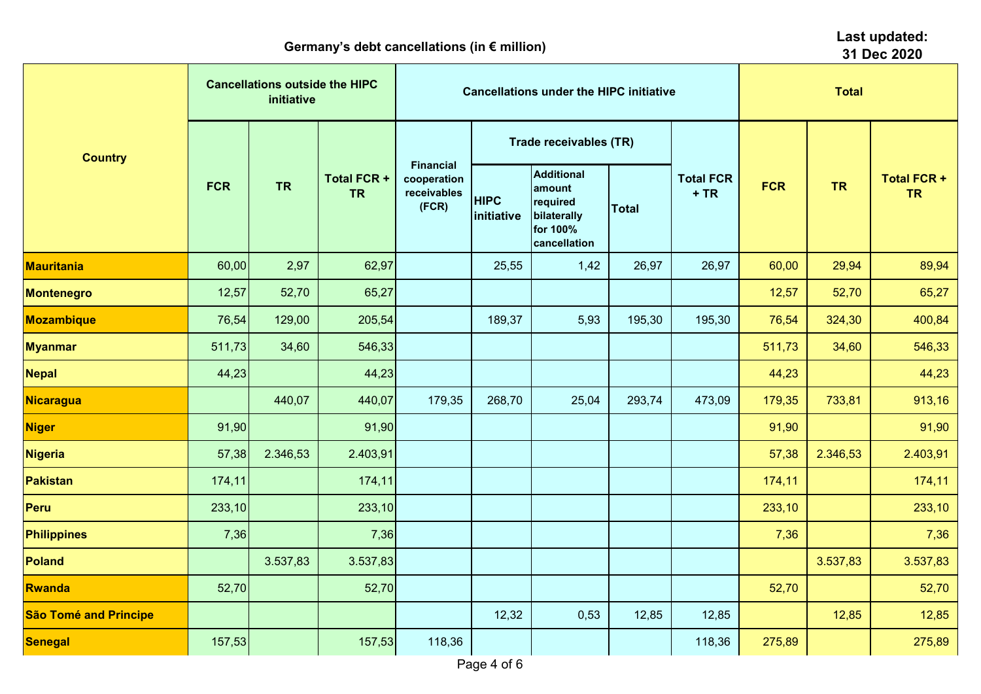|                              | <b>Cancellations outside the HIPC</b><br>initiative |           |                                 |                                                         |                           | <b>Cancellations under the HIPC initiative</b>                                     | <b>Total</b> |                            |            |           |                                 |
|------------------------------|-----------------------------------------------------|-----------|---------------------------------|---------------------------------------------------------|---------------------------|------------------------------------------------------------------------------------|--------------|----------------------------|------------|-----------|---------------------------------|
| <b>Country</b>               | <b>FCR</b>                                          |           | <b>Total FCR +</b><br><b>TR</b> |                                                         |                           | <b>Trade receivables (TR)</b>                                                      |              | <b>Total FCR</b><br>$+ TR$ |            |           |                                 |
|                              |                                                     | <b>TR</b> |                                 | <b>Financial</b><br>cooperation<br>receivables<br>(FCR) | <b>HIPC</b><br>initiative | <b>Additional</b><br>amount<br>required<br>bilaterally<br>for 100%<br>cancellation | <b>Total</b> |                            | <b>FCR</b> | <b>TR</b> | <b>Total FCR +</b><br><b>TR</b> |
| <b>Mauritania</b>            | 60,00                                               | 2,97      | 62,97                           |                                                         | 25,55                     | 1,42                                                                               | 26,97        | 26,97                      | 60,00      | 29,94     | 89,94                           |
| <b>Montenegro</b>            | 12,57                                               | 52,70     | 65,27                           |                                                         |                           |                                                                                    |              |                            | 12,57      | 52,70     | 65,27                           |
| <b>Mozambique</b>            | 76,54                                               | 129,00    | 205,54                          |                                                         | 189,37                    | 5,93                                                                               | 195,30       | 195,30                     | 76,54      | 324,30    | 400,84                          |
| <b>Myanmar</b>               | 511,73                                              | 34,60     | 546,33                          |                                                         |                           |                                                                                    |              |                            | 511,73     | 34,60     | 546,33                          |
| <b>Nepal</b>                 | 44,23                                               |           | 44,23                           |                                                         |                           |                                                                                    |              |                            | 44,23      |           | 44,23                           |
| <b>Nicaragua</b>             |                                                     | 440,07    | 440,07                          | 179,35                                                  | 268,70                    | 25,04                                                                              | 293,74       | 473,09                     | 179,35     | 733,81    | 913,16                          |
| <b>Niger</b>                 | 91,90                                               |           | 91,90                           |                                                         |                           |                                                                                    |              |                            | 91,90      |           | 91,90                           |
| <b>Nigeria</b>               | 57,38                                               | 2.346,53  | 2.403,91                        |                                                         |                           |                                                                                    |              |                            | 57,38      | 2.346,53  | 2.403,91                        |
| <b>Pakistan</b>              | 174,11                                              |           | 174,11                          |                                                         |                           |                                                                                    |              |                            | 174,11     |           | 174,11                          |
| <b>Peru</b>                  | 233,10                                              |           | 233,10                          |                                                         |                           |                                                                                    |              |                            | 233,10     |           | 233,10                          |
| <b>Philippines</b>           | 7,36                                                |           | 7,36                            |                                                         |                           |                                                                                    |              |                            | 7,36       |           | 7,36                            |
| <b>Poland</b>                |                                                     | 3.537,83  | 3.537,83                        |                                                         |                           |                                                                                    |              |                            |            | 3.537,83  | 3.537,83                        |
| <b>Rwanda</b>                | 52,70                                               |           | 52,70                           |                                                         |                           |                                                                                    |              |                            | 52,70      |           | 52,70                           |
| <b>São Tomé and Principe</b> |                                                     |           |                                 |                                                         | 12,32                     | 0,53                                                                               | 12,85        | 12,85                      |            | 12,85     | 12,85                           |
| <b>Senegal</b>               | 157,53                                              |           | 157,53                          | 118,36                                                  |                           |                                                                                    |              | 118,36                     | 275,89     |           | 275,89                          |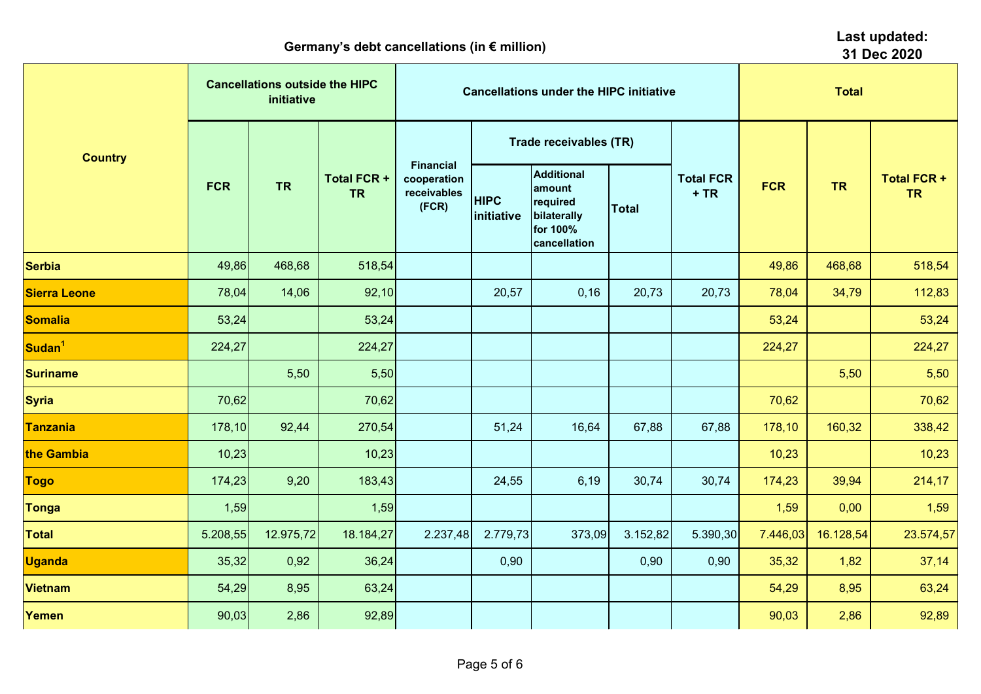|                     | 31 Dec 2020 |                                                     |                                 |                                                         |                           |                                                                                    |              |                            |            |           |                                 |
|---------------------|-------------|-----------------------------------------------------|---------------------------------|---------------------------------------------------------|---------------------------|------------------------------------------------------------------------------------|--------------|----------------------------|------------|-----------|---------------------------------|
| <b>Country</b>      |             | <b>Cancellations outside the HIPC</b><br>initiative |                                 |                                                         |                           | <b>Cancellations under the HIPC initiative</b>                                     | <b>Total</b> |                            |            |           |                                 |
|                     |             | <b>TR</b>                                           |                                 |                                                         |                           | Trade receivables (TR)                                                             |              | <b>Total FCR</b><br>$+ TR$ |            |           |                                 |
|                     | <b>FCR</b>  |                                                     | <b>Total FCR +</b><br><b>TR</b> | <b>Financial</b><br>cooperation<br>receivables<br>(FCR) | <b>HIPC</b><br>initiative | <b>Additional</b><br>amount<br>required<br>bilaterally<br>for 100%<br>cancellation | <b>Total</b> |                            | <b>FCR</b> | <b>TR</b> | <b>Total FCR +</b><br><b>TR</b> |
| <b>Serbia</b>       | 49,86       | 468,68                                              | 518,54                          |                                                         |                           |                                                                                    |              |                            | 49,86      | 468,68    | 518,54                          |
| <b>Sierra Leone</b> | 78,04       | 14,06                                               | 92,10                           |                                                         | 20,57                     | 0,16                                                                               | 20,73        | 20,73                      | 78,04      | 34,79     | 112,83                          |
| <b>Somalia</b>      | 53,24       |                                                     | 53,24                           |                                                         |                           |                                                                                    |              |                            | 53,24      |           | 53,24                           |
| Sudan <sup>1</sup>  | 224,27      |                                                     | 224,27                          |                                                         |                           |                                                                                    |              |                            | 224,27     |           | 224,27                          |
| <b>Suriname</b>     |             | 5,50                                                | 5,50                            |                                                         |                           |                                                                                    |              |                            |            | 5,50      | 5,50                            |
| <b>Syria</b>        | 70,62       |                                                     | 70,62                           |                                                         |                           |                                                                                    |              |                            | 70,62      |           | 70,62                           |
| <b>Tanzania</b>     | 178,10      | 92,44                                               | 270,54                          |                                                         | 51,24                     | 16,64                                                                              | 67,88        | 67,88                      | 178,10     | 160,32    | 338,42                          |
| the Gambia          | 10,23       |                                                     | 10,23                           |                                                         |                           |                                                                                    |              |                            | 10,23      |           | 10,23                           |
| <b>Togo</b>         | 174,23      | 9,20                                                | 183,43                          |                                                         | 24,55                     | 6,19                                                                               | 30,74        | 30,74                      | 174,23     | 39,94     | 214,17                          |
| <b>Tonga</b>        | 1,59        |                                                     | 1,59                            |                                                         |                           |                                                                                    |              |                            | 1,59       | 0,00      | 1,59                            |
| <b>Total</b>        | 5.208,55    | 12.975,72                                           | 18.184,27                       | 2.237,48                                                | 2.779,73                  | 373,09                                                                             | 3.152,82     | 5.390,30                   | 7.446,03   | 16.128,54 | 23.574,57                       |
| <b>Uganda</b>       | 35,32       | 0,92                                                | 36,24                           |                                                         | 0,90                      |                                                                                    | 0,90         | 0,90                       | 35,32      | 1,82      | 37,14                           |
| <b>Vietnam</b>      | 54,29       | 8,95                                                | 63,24                           |                                                         |                           |                                                                                    |              |                            | 54,29      | 8,95      | 63,24                           |
| Yemen               | 90,03       | 2,86                                                | 92,89                           |                                                         |                           |                                                                                    |              |                            | 90,03      | 2,86      | 92,89                           |

**Last updated:**